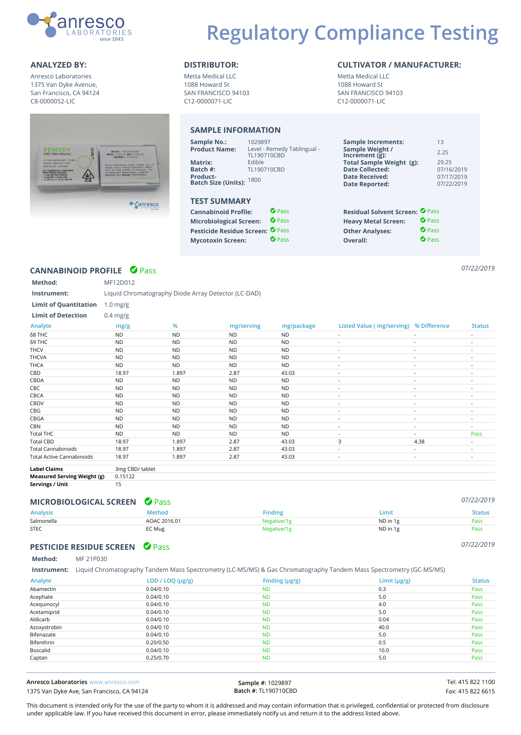

# **Regulatory Compliance Testing**

Anresco Laboratories 1375 Van Dyke Avenue, San Francisco, CA 94124 C8-0000052-LIC



Metta Medical LLC 1088 Howard St SAN FRANCISCO 94103 C12-0000071-LIC

### **ANALYZED BY: DISTRIBUTOR: CULTIVATOR / MANUFACTURER:**

Metta Medical LLC 1088 Howard St SAN FRANCISCO 94103 C12-0000071-LIC

|                                                                                                                                                                           | <b>SAMPLE INFORMATION</b>                                                                                                                |                                                                 |                                                                                                            |                                                         |  |  |
|---------------------------------------------------------------------------------------------------------------------------------------------------------------------------|------------------------------------------------------------------------------------------------------------------------------------------|-----------------------------------------------------------------|------------------------------------------------------------------------------------------------------------|---------------------------------------------------------|--|--|
| LEVEL <sup>3</sup><br>BATCH: TL190710CBD<br>MADE: 7/10/19 EXP: 7/09/20<br>PACKED: 7/14/19<br>Place tablingual under tongue (or in<br>cheek) until fully dissolved. Effect | <b>Sample No.:</b><br><b>Product Name:</b><br>Matrix:                                                                                    | 1029897<br>Level - Remedy Tablingual -<br>TL190710CBD<br>Edible | <b>Sample Increments:</b><br>Sample Weight /<br>Increment $(g)$ :<br>Total Sample Weight (g):              | 13<br>2.25<br>29.25                                     |  |  |
| will be felt within 15 minutes. For<br>an exhanced experience, combine<br>Relieve and Renedy TABLINGUAL.<br>moa.zbiends.com                                               | Batch #:<br>Product-<br><b>Batch Size (Units):</b><br><b>TEST SUMMARY</b>                                                                | TL190710CBD<br>1800                                             | <b>Date Collected:</b><br><b>Date Received:</b><br><b>Date Reported:</b>                                   | 07/16/2019<br>07/17/2019<br>07/22/2019                  |  |  |
| <b>Tanresco</b>                                                                                                                                                           | <b>Cannabinoid Profile:</b><br><b>Microbiological Screen:</b><br>Pesticide Residue Screen: <sup>O Pass</sup><br><b>Mycotoxin Screen:</b> | <b>O</b> Pass<br><b>O</b> Pass<br><b>O</b> Pass                 | <b>Residual Solvent Screen: O Pass</b><br><b>Heavy Metal Screen:</b><br><b>Other Analyses:</b><br>Overall: | <b>O</b> Pass<br>$\bullet$ Pass<br><b><i>O</i></b> Pass |  |  |

## **CANNABINOID PROFILE** Pass *07/22/2019* ✔

| Method:                      | MF12D012   |           |                                                     |
|------------------------------|------------|-----------|-----------------------------------------------------|
| Instrument:                  |            |           | Liquid Chromatography Diode Array Detector (LC-DAD) |
| <b>Limit of Quantitation</b> | $1.0$ mg/g |           |                                                     |
| <b>Limit of Detection</b>    | $0.4$ mg/g |           |                                                     |
| Analyte                      | mg/g       | %         | mg/serving                                          |
| δ8 THC                       | <b>ND</b>  | <b>ND</b> | <b>ND</b>                                           |
| δ9 THC                       | ND.        | ND        | ND                                                  |

| Analyte                          | mg/g           | %         | mg/serving | mg/package | Listed Value (mg/serving) % Difference |                          | <b>Status</b>            |
|----------------------------------|----------------|-----------|------------|------------|----------------------------------------|--------------------------|--------------------------|
| δ8 THC                           | <b>ND</b>      | <b>ND</b> | <b>ND</b>  | <b>ND</b>  | $\sim$                                 | $\overline{a}$           | $\sim$                   |
| δ9 THC                           | <b>ND</b>      | <b>ND</b> | <b>ND</b>  | <b>ND</b>  | $\overline{\phantom{a}}$               | $\overline{\phantom{a}}$ | $\overline{\phantom{0}}$ |
| THCV                             | <b>ND</b>      | <b>ND</b> | <b>ND</b>  | <b>ND</b>  | $\overline{\phantom{a}}$               |                          | ٠                        |
| <b>THCVA</b>                     | <b>ND</b>      | <b>ND</b> | <b>ND</b>  | <b>ND</b>  | $\overline{\phantom{a}}$               | $\overline{\phantom{0}}$ | $\overline{\phantom{a}}$ |
| THCA                             | <b>ND</b>      | <b>ND</b> | <b>ND</b>  | <b>ND</b>  | $\overline{\phantom{a}}$               |                          | $\overline{\phantom{a}}$ |
| CBD                              | 18.97          | 1.897     | 2.87       | 43.03      |                                        |                          |                          |
| CBDA                             | <b>ND</b>      | <b>ND</b> | <b>ND</b>  | <b>ND</b>  | $\overline{\phantom{a}}$               |                          |                          |
| CBC                              | <b>ND</b>      | <b>ND</b> | <b>ND</b>  | <b>ND</b>  | $\overline{\phantom{a}}$               |                          | $\overline{\phantom{0}}$ |
| CBCA                             | <b>ND</b>      | <b>ND</b> | <b>ND</b>  | <b>ND</b>  | $\overline{\phantom{a}}$               |                          |                          |
| CBDV                             | <b>ND</b>      | <b>ND</b> | <b>ND</b>  | <b>ND</b>  | $\overline{\phantom{a}}$               | $\overline{a}$           | $\sim$                   |
| CBG                              | <b>ND</b>      | <b>ND</b> | <b>ND</b>  | <b>ND</b>  |                                        |                          | $\overline{\phantom{a}}$ |
| CBGA                             | <b>ND</b>      | <b>ND</b> | <b>ND</b>  | <b>ND</b>  | $\overline{\phantom{a}}$               |                          | $\overline{\phantom{a}}$ |
| CBN                              | <b>ND</b>      | <b>ND</b> | <b>ND</b>  | <b>ND</b>  | $\overline{\phantom{a}}$               | $\overline{a}$           | $\overline{\phantom{a}}$ |
| <b>Total THC</b>                 | <b>ND</b>      | <b>ND</b> | <b>ND</b>  | <b>ND</b>  | $\overline{\phantom{a}}$               |                          | Pass                     |
| <b>Total CBD</b>                 | 18.97          | 1.897     | 2.87       | 43.03      | 3                                      | 4.38                     | $\overline{\phantom{a}}$ |
| <b>Total Cannabinoids</b>        | 18.97          | 1.897     | 2.87       | 43.03      | $\overline{\phantom{a}}$               |                          | $\overline{\phantom{a}}$ |
| <b>Total Active Cannabinoids</b> | 18.97          | 1.897     | 2.87       | 43.03      |                                        |                          |                          |
| <b>Label Claims</b>              | 3mg CBD/tablet |           |            |            |                                        |                          |                          |

**Measured Serving Weight (g)** 0.15122 **Servings / Unit** 15

| <b>MICROBIOLOGICAL SCREEN</b> Pass |              |                |          |        |
|------------------------------------|--------------|----------------|----------|--------|
| <b>Analysis</b>                    | Method       | <b>Finding</b> | .imit    | Status |
| Salmonella                         | AOAC 2016.01 | Negative/1g    | ND in 1g | Pass   |
| <b>STEC</b>                        | EC Mug       | Negative/1g    | ND in 1g | Pass   |

#### **PESTICIDE RESIDUE SCREEN** Pass *07/22/2019* ✔

**Method:** MF 21P030

**Instrument:** Liquid Chromatography Tandem Mass Spectrometry (LC-MS/MS) & Gas Chromatography Tandem Mass Spectrometry (GC-MS/MS)

| Analyte      | LOD / LOQ (µg/g) | Finding $(\mu g/g)$ | Limit $(\mu g/g)$ | <b>Status</b> |
|--------------|------------------|---------------------|-------------------|---------------|
| Abamectin    | 0.04/0.10        | <b>ND</b>           | 0.3               | Pass          |
| Acephate     | 0.04/0.10        | <b>ND</b>           | 5.0               | Pass          |
| Acequinocyl  | 0.04/0.10        | <b>ND</b>           | 4.0               | Pass          |
| Acetamiprid  | 0.04/0.10        | <b>ND</b>           | 5.0               | Pass          |
| Aldicarb     | 0.04/0.10        | <b>ND</b>           | 0.04              | Pass          |
| Azoxystrobin | 0.04/0.10        | <b>ND</b>           | 40.0              | Pass          |
| Bifenazate   | 0.04/0.10        | <b>ND</b>           | 5.0               | Pass          |
| Bifenthrin   | 0.20/0.50        | <b>ND</b>           | 0.5               | Pass          |
| Boscalid     | 0.04/0.10        | <b>ND</b>           | 10.0              | Pass          |
| Captan       | 0.25/0.70        | <b>ND</b>           | 5.0               | Pass          |

**Anresco Laboratories** www.anresco.com **Tel: 415 822 1100** 1375 Van Dyke Ave, San Francisco, CA 94124 **Fax: 415 822 6615** Fax: 415 822 6615

**Sample #:** 1029897 **Batch #:** TL190710CBD

This document is intended only for the use of the party to whom it is addressed and may contain information that is privileged, confidential or protected from disclosure under applicable law. If you have received this document in error, please immediately notify us and return it to the address listed above.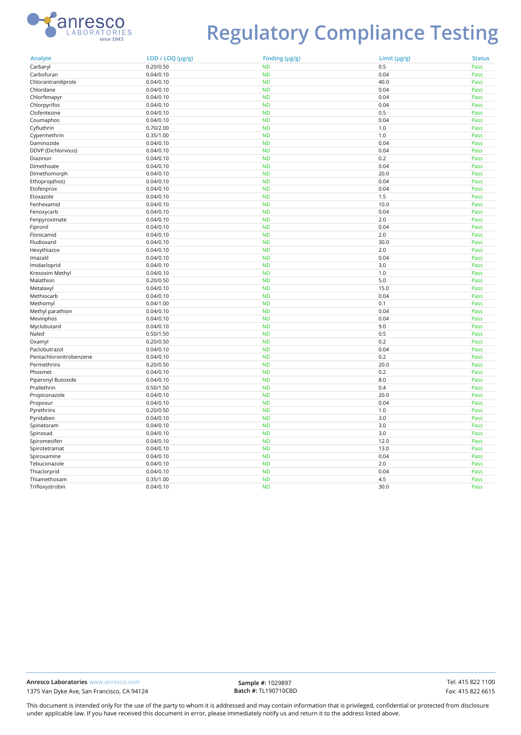

# **Regulatory Compliance Testing**

| Analyte                 | LOD / LOQ (µg/g) | Finding (µg/g) | Limit $(\mu g/g)$ | <b>Status</b> |
|-------------------------|------------------|----------------|-------------------|---------------|
| Carbaryl                | 0.20/0.50        | <b>ND</b>      | 0.5               | Pass          |
| Carbofuran              | 0.04/0.10        | <b>ND</b>      | 0.04              | Pass          |
| Chlorantraniliprole     | 0.04/0.10        | <b>ND</b>      | 40.0              | Pass          |
| Chlordane               | 0.04/0.10        | <b>ND</b>      | 0.04              | Pass          |
| Chlorfenapyr            | 0.04/0.10        | <b>ND</b>      | 0.04              | Pass          |
| Chlorpyrifos            | 0.04/0.10        | <b>ND</b>      | 0.04              | Pass          |
| Clofentezine            | 0.04/0.10        | <b>ND</b>      | 0.5               | Pass          |
| Coumaphos               | 0.04/0.10        | <b>ND</b>      | 0.04              | Pass          |
| Cyfluthrin              | 0.70/2.00        | <b>ND</b>      | 1.0               | Pass          |
| Cypermethrin            | 0.35/1.00        | <b>ND</b>      | 1.0               | Pass          |
| Daminozide              | 0.04/0.10        | <b>ND</b>      | 0.04              | Pass          |
| DDVP (Dichlorvous)      | 0.04/0.10        | <b>ND</b>      | 0.04              | Pass          |
| Diazinon                | 0.04/0.10        | <b>ND</b>      | 0.2               | Pass          |
| Dimethoate              | 0.04/0.10        | <b>ND</b>      | 0.04              | Pass          |
| Dimethomorph            | 0.04/0.10        | <b>ND</b>      | 20.0              | Pass          |
| Ethoprop(hos)           | 0.04/0.10        | <b>ND</b>      | 0.04              | Pass          |
| Etofenprox              | 0.04/0.10        | <b>ND</b>      | 0.04              | Pass          |
| Etoxazole               | 0.04/0.10        | <b>ND</b>      | 1.5               | Pass          |
| Fenhexamid              | 0.04/0.10        | <b>ND</b>      | 10.0              | Pass          |
| Fenoxycarb              | 0.04/0.10        | <b>ND</b>      | 0.04              | Pass          |
| Fenpyroximate           | 0.04/0.10        | <b>ND</b>      | 2.0               | Pass          |
| Fipronil                | 0.04/0.10        | <b>ND</b>      | 0.04              | Pass          |
| Flonicamid              | 0.04/0.10        | <b>ND</b>      | 2.0               | Pass          |
| Fludioxanil             | 0.04/0.10        | <b>ND</b>      | 30.0              | Pass          |
| Hexythiazox             | 0.04/0.10        | <b>ND</b>      | 2.0               | Pass          |
| Imazalil                | 0.04/0.10        | <b>ND</b>      | 0.04              | Pass          |
| Imidacloprid            | 0.04/0.10        | <b>ND</b>      | 3.0               | Pass          |
| Kresoxim Methyl         | 0.04/0.10        | <b>ND</b>      | 1.0               | Pass          |
| Malathion               | 0.20/0.50        | <b>ND</b>      | 5.0               | Pass          |
| Metalaxyl               | 0.04/0.10        | <b>ND</b>      | 15.0              | Pass          |
| Methiocarb              | 0.04/0.10        | <b>ND</b>      | 0.04              | Pass          |
| Methomyl                | 0.04/1.00        | <b>ND</b>      | 0.1               | Pass          |
| Methyl parathion        | 0.04/0.10        | <b>ND</b>      | 0.04              | Pass          |
| Mevinphos               | 0.04/0.10        | <b>ND</b>      | 0.04              | Pass          |
| Myclobutanil            | 0.04/0.10        | <b>ND</b>      | 9.0               | Pass          |
| Naled                   | 0.50/1.50        | <b>ND</b>      | 0.5               | Pass          |
| Oxamyl                  | 0.20/0.50        | <b>ND</b>      | 0.2               | Pass          |
| Paclobutrazol           | 0.04/0.10        | <b>ND</b>      | 0.04              | Pass          |
| Pentachloronitrobenzene | 0.04/0.10        | <b>ND</b>      | 0.2               | Pass          |
| Permethrins             | 0.20/0.50        | <b>ND</b>      | 20.0              | Pass          |
| Phosmet                 | 0.04/0.10        | <b>ND</b>      | 0.2               | Pass          |
| Piperonyl Butoxide      | 0.04/0.10        | <b>ND</b>      | 8.0               | Pass          |
| Prallethrin             | 0.50/1.50        | <b>ND</b>      | 0.4               | Pass          |
| Propiconazole           | 0.04/0.10        | <b>ND</b>      | 20.0              | Pass          |
| Propoxur                | 0.04/0.10        | <b>ND</b>      | 0.04              | Pass          |
| Pyrethrins              | 0.20/0.50        | <b>ND</b>      | 1.0               | Pass          |
| Pyridaben               | 0.04/0.10        | <b>ND</b>      | 3.0               | Pass          |
| Spinetoram              | 0.04/0.10        | <b>ND</b>      | 3.0               | Pass          |
| Spinosad                | 0.04/0.10        | <b>ND</b>      | 3.0               | Pass          |
| Spiromesifen            | 0.04/0.10        | <b>ND</b>      | 12.0              | Pass          |
| Spirotetramat           | 0.04/0.10        | <b>ND</b>      | 13.0              | Pass          |
| Spiroxamine             | 0.04/0.10        | <b>ND</b>      | 0.04              | Pass          |
| Tebuconazole            | 0.04/0.10        | <b>ND</b>      | 2.0               | Pass          |
| Thiaclorprid            | 0.04/0.10        | <b>ND</b>      | 0.04              | Pass          |
| Thiamethoxam            | 0.35/1.00        | <b>ND</b>      | 4.5               | Pass          |
| Trifloxystrobin         | 0.04/0.10        | <b>ND</b>      | 30.0              | Pass          |

**Sample #:** 1029897 **Batch #:** TL190710CBD

This document is intended only for the use of the party to whom it is addressed and may contain information that is privileged, confidential or protected from disclosure under applicable law. If you have received this document in error, please immediately notify us and return it to the address listed above.